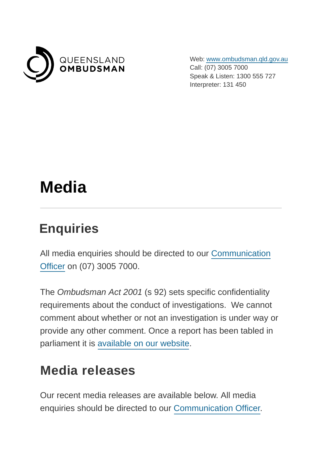

Web: [www.ombudsman.qld.gov.au](https://www.ombudsman.qld.gov.au/) Call: (07) 3005 7000 Speak & Listen: 1300 555 727 Interpreter: 131 450

# **Media**

#### **Enquiries**

All media enquiries should be directed to our [Communication](mailto:media@ombudsman.qld.gov.au?subject=Website%20media%20enquiries) Officer on (07) 3005 7000.

The Ombudsman Act 2001 (s 92) sets specific confidentiality requirements about the conduct of investigations. We cannot comment about whether or not an investigation is under way or provide any other comment. Once a report has been tabled in parliament it is [available on our website.](https://www.ombudsman.qld.gov.au/improve-public-administration/investigative-reports-and-casebooks/investigative-reports)

#### **Media releases**

Our recent media releases are available below. All media enquiries should be directed to our [Communication Officer.](mailto:media@ombudsman.qld.gov.au?subject=Media%20enquiry)